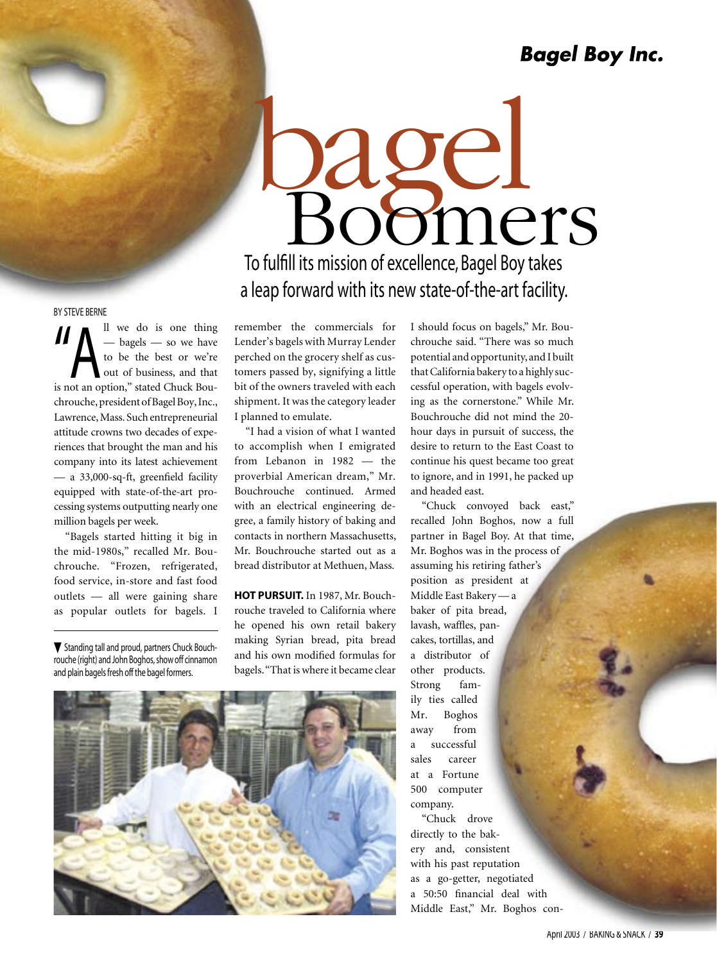To fulfill its mission of excellence, Bagel Boy takes a leap forward with its new state-of-the-art facility. rage. pomers

#### BY STEVE BERNE

 $\begin{array}{c} \n\begin{array}{c}\n\text{all} & \text{we do is one thing} \\
\text{— bagels — so we have} \\
\text{to be the best or we're} \\
\text{out of business, and that}\n\end{array}\n\end{array}$ — bagels — so we have to be the best or we're out of business, and that is not an option," stated Chuck Bouchrouche, president of Bagel Boy, Inc., Lawrence, Mass. Such entrepreneurial attitude crowns two decades of experiences that brought the man and his company into its latest achievement — a 33,000-sq-ft, greenfield facility equipped with state-of-the-art processing systems outputting nearly one million bagels per week.

"Bagels started hitting it big in the mid-1980s," recalled Mr. Bouchrouche. "Frozen, refrigerated, food service, in-store and fast food outlets — all were gaining share as popular outlets for bagels. I

 $\nabla$  Standing tall and proud, partners Chuck Bouchrouche (right) and John Boghos, show off cinnamon and plain bagels fresh off the bagel formers.

remember the commercials for Lender's bagels with Murray Lender perched on the grocery shelf as customers passed by, signifying a little bit of the owners traveled with each shipment. It was the category leader I planned to emulate.

"I had a vision of what I wanted to accomplish when I emigrated from Lebanon in 1982 — the proverbial American dream," Mr. Bouchrouche continued. Armed with an electrical engineering degree, a family history of baking and contacts in northern Massachusetts, Mr. Bouchrouche started out as a bread distributor at Methuen, Mass.

**HOT PURSUIT.** In 1987, Mr. Bouchrouche traveled to California where he opened his own retail bakery making Syrian bread, pita bread and his own modified formulas for bagels. "That is where it became clear I should focus on bagels," Mr. Bouchrouche said. "There was so much potential and opportunity, and I built that California bakery to a highly successful operation, with bagels evolving as the cornerstone." While Mr. Bouchrouche did not mind the 20 hour days in pursuit of success, the desire to return to the East Coast to continue his quest became too great to ignore, and in 1991, he packed up and headed east.

"Chuck convoyed back east," recalled John Boghos, now a full partner in Bagel Boy. At that time, Mr. Boghos was in the process of assuming his retiring father's position as president at Middle East Bakery — a baker of pita bread, lavash, waffles, pancakes, tortillas, and a distributor of other products. Strong family ties called Mr. Boghos away from a successful sales career at a Fortune 500 computer company. "Chuck drove

directly to the bakery and, consistent with his past reputation as a go-getter, negotiated a 50:50 financial deal with Middle East," Mr. Boghos con-

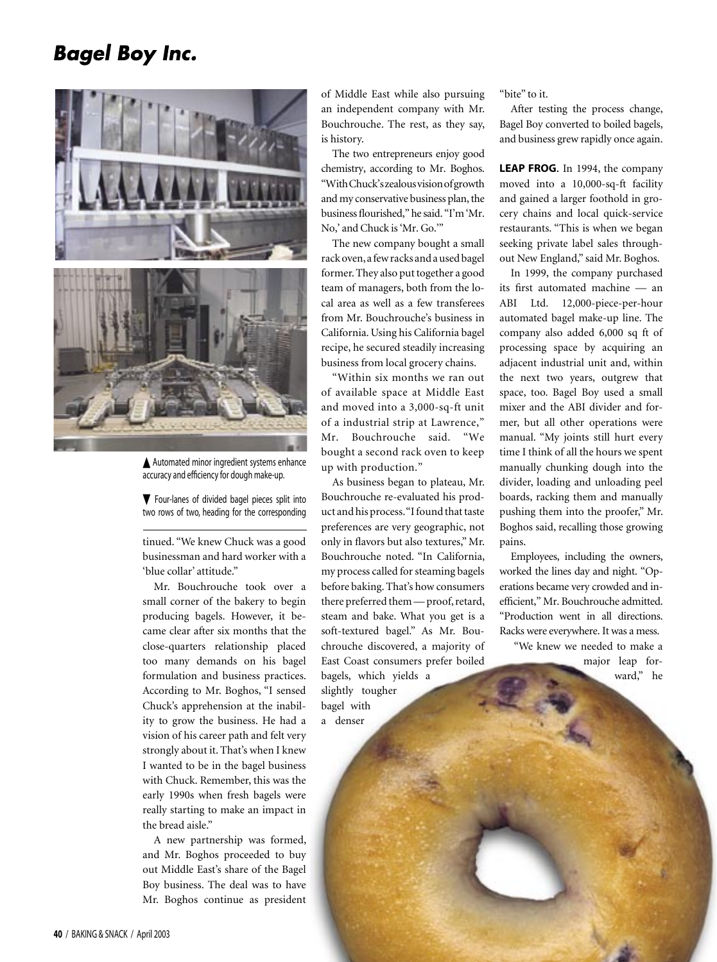

Automated minor ingredient systems enhance accuracy and efficiency for dough make-up.

 $\nabla$  Four-lanes of divided bagel pieces split into two rows of two, heading for the corresponding

tinued. "We knew Chuck was a good businessman and hard worker with a 'blue collar' attitude."

Mr. Bouchrouche took over a small corner of the bakery to begin producing bagels. However, it became clear after six months that the close-quarters relationship placed too many demands on his bagel formulation and business practices. According to Mr. Boghos, "I sensed Chuck's apprehension at the inability to grow the business. He had a vision of his career path and felt very strongly about it. That's when I knew I wanted to be in the bagel business with Chuck. Remember, this was the early 1990s when fresh bagels were really starting to make an impact in the bread aisle."

A new partnership was formed, and Mr. Boghos proceeded to buy out Middle East's share of the Bagel Boy business. The deal was to have Mr. Boghos continue as president

of Middle East while also pursuing an independent company with Mr. Bouchrouche. The rest, as they say, is history.

The two entrepreneurs enjoy good chemistry, according to Mr. Boghos. "With Chuck's zealous vision of growth and my conservative business plan, the business flourished," he said. "I'm 'Mr. No,' and Chuck is 'Mr. Go.'"

The new company bought a small rack oven, a few racks and a used bagel former. They also put together a good team of managers, both from the local area as well as a few transferees from Mr. Bouchrouche's business in California. Using his California bagel recipe, he secured steadily increasing business from local grocery chains.

"Within six months we ran out of available space at Middle East and moved into a 3,000-sq-ft unit of a industrial strip at Lawrence," Mr. Bouchrouche said. "We bought a second rack oven to keep up with production."

As business began to plateau, Mr. Bouchrouche re-evaluated his product and his process. "I found that taste preferences are very geographic, not only in flavors but also textures," Mr. Bouchrouche noted. "In California, my process called for steaming bagels before baking. That's how consumers there preferred them — proof, retard, steam and bake. What you get is a soft-textured bagel." As Mr. Bouchrouche discovered, a majority of East Coast consumers prefer boiled bagels, which yields a slightly tougher bagel with a denser

"bite" to it.

After testing the process change, Bagel Boy converted to boiled bagels, and business grew rapidly once again.

**LEAP FROG.** In 1994, the company moved into a 10,000-sq-ft facility and gained a larger foothold in grocery chains and local quick-service restaurants. "This is when we began seeking private label sales throughout New England," said Mr. Boghos.

In 1999, the company purchased its first automated machine — an ABI Ltd. 12,000-piece-per-hour automated bagel make-up line. The company also added 6,000 sq ft of processing space by acquiring an adjacent industrial unit and, within the next two years, outgrew that space, too. Bagel Boy used a small mixer and the ABI divider and former, but all other operations were manual. "My joints still hurt every time I think of all the hours we spent manually chunking dough into the divider, loading and unloading peel boards, racking them and manually pushing them into the proofer," Mr. Boghos said, recalling those growing pains.

Employees, including the owners, worked the lines day and night. "Operations became very crowded and inefficient," Mr. Bouchrouche admitted. "Production went in all directions. Racks were everywhere. It was a mess.

 "We knew we needed to make a major leap forward," he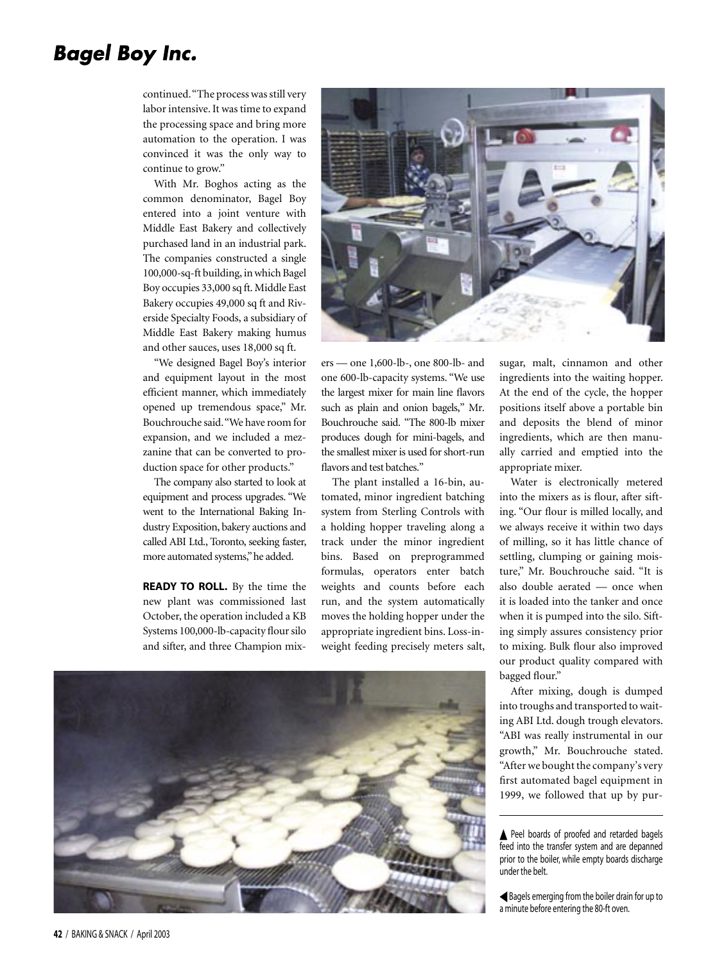continued. "The process was still very labor intensive. It was time to expand the processing space and bring more automation to the operation. I was convinced it was the only way to continue to grow."

With Mr. Boghos acting as the common denominator, Bagel Boy entered into a joint venture with Middle East Bakery and collectively purchased land in an industrial park. The companies constructed a single 100,000-sq-ft building, in which Bagel Boy occupies 33,000 sq ft. Middle East Bakery occupies 49,000 sq ft and Riverside Specialty Foods, a subsidiary of Middle East Bakery making humus and other sauces, uses 18,000 sq ft.

"We designed Bagel Boy's interior and equipment layout in the most efficient manner, which immediately opened up tremendous space," Mr. Bouchrouche said. "We have room for expansion, and we included a mezzanine that can be converted to production space for other products."

The company also started to look at equipment and process upgrades. "We went to the International Baking Industry Exposition, bakery auctions and called ABI Ltd., Toronto, seeking faster, more automated systems," he added.

**READY TO ROLL.** By the time the new plant was commissioned last October, the operation included a KB Systems 100,000-lb-capacity flour silo and sifter, and three Champion mix-



ers — one 1,600-lb-, one 800-lb- and one 600-lb-capacity systems. "We use the largest mixer for main line flavors such as plain and onion bagels," Mr. Bouchrouche said. "The 800-lb mixer produces dough for mini-bagels, and the smallest mixer is used for short-run flavors and test batches."

The plant installed a 16-bin, automated, minor ingredient batching system from Sterling Controls with a holding hopper traveling along a track under the minor ingredient bins. Based on preprogrammed formulas, operators enter batch weights and counts before each run, and the system automatically moves the holding hopper under the appropriate ingredient bins. Loss-inweight feeding precisely meters salt,

sugar, malt, cinnamon and other ingredients into the waiting hopper. At the end of the cycle, the hopper positions itself above a portable bin and deposits the blend of minor ingredients, which are then manually carried and emptied into the appropriate mixer.

Water is electronically metered into the mixers as is flour, after sifting. "Our flour is milled locally, and we always receive it within two days of milling, so it has little chance of settling, clumping or gaining moisture," Mr. Bouchrouche said. "It is also double aerated — once when it is loaded into the tanker and once when it is pumped into the silo. Sifting simply assures consistency prior to mixing. Bulk flour also improved our product quality compared with bagged flour."

After mixing, dough is dumped into troughs and transported to waiting ABI Ltd. dough trough elevators. "ABI was really instrumental in our growth," Mr. Bouchrouche stated. "After we bought the company's very first automated bagel equipment in 1999, we followed that up by pur-

Bagels emerging from the boiler drain for up to a minute before entering the 80-ft oven.



Peel boards of proofed and retarded bagels feed into the transfer system and are depanned prior to the boiler, while empty boards discharge under the belt.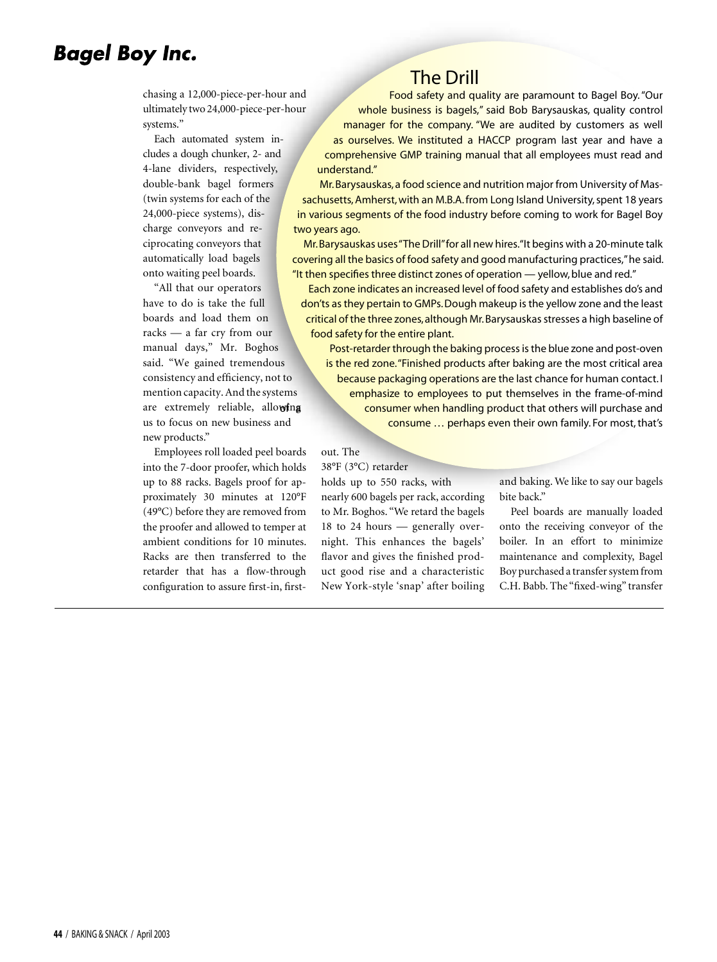chasing a 12,000-piece-per-hour and ultimately two 24,000-piece-per-hour systems."

Each automated system includes a dough chunker, 2- and 4-lane dividers, respectively, double-bank bagel formers (twin systems for each of the 24,000-piece systems), discharge conveyors and reciprocating conveyors that automatically load bagels onto waiting peel boards.

"All that our operators have to do is take the full boards and load them on racks — a far cry from our manual days," Mr. Boghos said. "We gained tremendous consistency and efficiency, not to mention capacity. And the systems are extremely reliable, allowing us to focus on new business and new products."

Employees roll loaded peel boards into the 7-door proofer, which holds up to 88 racks. Bagels proof for approximately 30 minutes at 120°F (49°C) before they are removed from the proofer and allowed to temper at ambient conditions for 10 minutes. Racks are then transferred to the retarder that has a flow-through configuration to assure first-in, first-

#### The Drill

Food safety and quality are paramount to Bagel Boy. "Our whole business is bagels," said Bob Barysauskas, quality control manager for the company. "We are audited by customers as well as ourselves. We instituted a HACCP program last year and have a comprehensive GMP training manual that all employees must read and understand."

Mr. Barysauskas, a food science and nutrition major from University of Massachusetts, Amherst, with an M.B.A. from Long Island University, spent 18 years in various segments of the food industry before coming to work for Bagel Boy two years ago.

Mr. Barysauskas uses "The Drill" for all new hires. "It begins with a 20-minute talk covering all the basics of food safety and good manufacturing practices," he said. "It then specifies three distinct zones of operation — yellow, blue and red."

Each zone indicates an increased level of food safety and establishes do's and don'ts as they pertain to GMPs. Dough makeup is the yellow zone and the least critical of the three zones, although Mr. Barysauskas stresses a high baseline of food safety for the entire plant.

Post-retarder through the baking process is the blue zone and post-oven is the red zone. "Finished products after baking are the most critical area because packaging operations are the last chance for human contact. I emphasize to employees to put themselves in the frame-of-mind consumer when handling product that others will purchase and consume … perhaps even their own family. For most, that's

#### out. The

38°F (3°C) retarder holds up to 550 racks, with

nearly 600 bagels per rack, according to Mr. Boghos. "We retard the bagels 18 to 24 hours — generally overnight. This enhances the bagels' flavor and gives the finished product good rise and a characteristic New York-style 'snap' after boiling and baking. We like to say our bagels bite back."

Peel boards are manually loaded onto the receiving conveyor of the boiler. In an effort to minimize maintenance and complexity, Bagel Boy purchased a transfer system from C.H. Babb. The "fixed-wing" transfer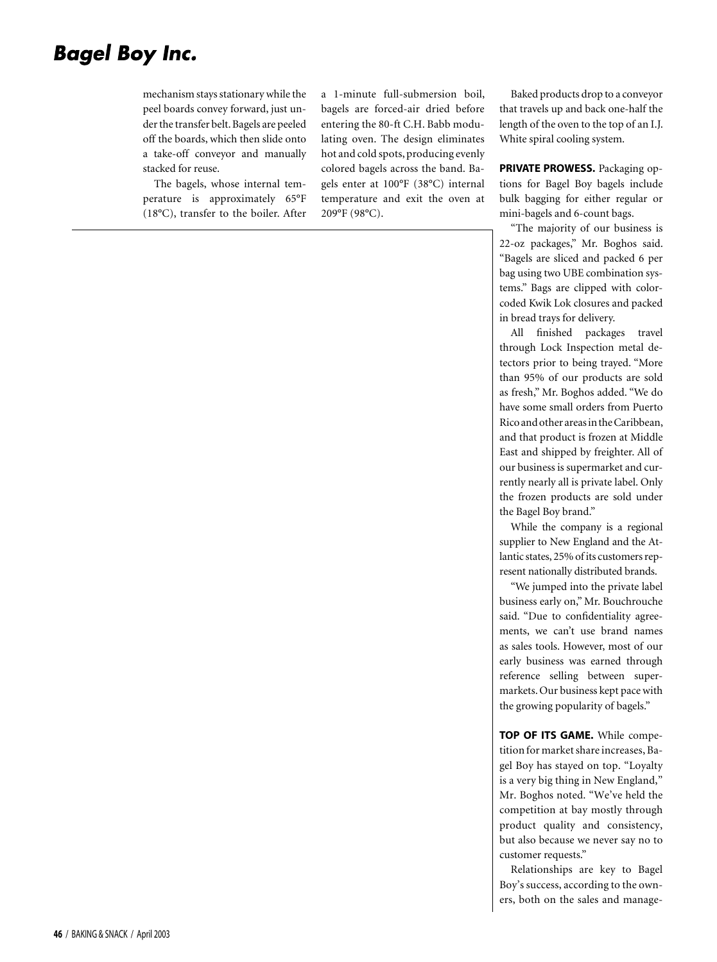mechanism stays stationary while the peel boards convey forward, just under the transfer belt. Bagels are peeled off the boards, which then slide onto a take-off conveyor and manually stacked for reuse.

The bagels, whose internal temperature is approximately 65°F (18°C), transfer to the boiler. After

a 1-minute full-submersion boil, bagels are forced-air dried before entering the 80-ft C.H. Babb modulating oven. The design eliminates hot and cold spots, producing evenly colored bagels across the band. Bagels enter at 100°F (38°C) internal temperature and exit the oven at 209°F (98°C).

Baked products drop to a conveyor that travels up and back one-half the length of the oven to the top of an I.J. White spiral cooling system.

**PRIVATE PROWESS.** Packaging options for Bagel Boy bagels include bulk bagging for either regular or mini-bagels and 6-count bags.

"The majority of our business is 22-oz packages," Mr. Boghos said. "Bagels are sliced and packed 6 per bag using two UBE combination systems." Bags are clipped with colorcoded Kwik Lok closures and packed in bread trays for delivery.

All finished packages travel through Lock Inspection metal detectors prior to being trayed. "More than 95% of our products are sold as fresh," Mr. Boghos added. "We do have some small orders from Puerto Rico and other areas in the Caribbean, and that product is frozen at Middle East and shipped by freighter. All of our business is supermarket and currently nearly all is private label. Only the frozen products are sold under the Bagel Boy brand."

While the company is a regional supplier to New England and the Atlantic states, 25% of its customers represent nationally distributed brands.

"We jumped into the private label business early on," Mr. Bouchrouche said. "Due to confidentiality agreements, we can't use brand names as sales tools. However, most of our early business was earned through reference selling between supermarkets. Our business kept pace with the growing popularity of bagels."

**TOP OF ITS GAME.** While competition for market share increases, Bagel Boy has stayed on top. "Loyalty is a very big thing in New England," Mr. Boghos noted. "We've held the competition at bay mostly through product quality and consistency, but also because we never say no to customer requests."

Relationships are key to Bagel Boy's success, according to the owners, both on the sales and manage